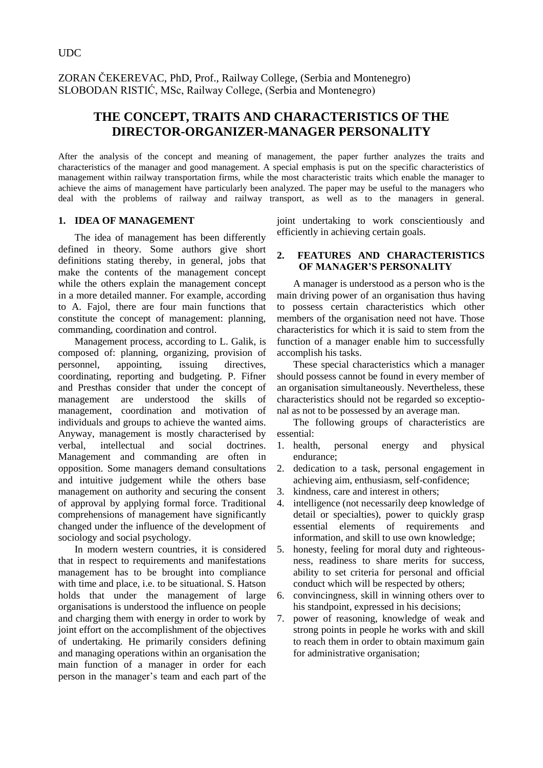ZORAN ČEKEREVAC, PhD, Prof., Railway College, (Serbia and Montenegro) SLOBODAN RISTIĆ, MSc, Railway College, (Serbia and Montenegro)

# **THE CONCEPT, TRAITS AND CHARACTERISTICS OF THE DIRECTOR-ORGANIZER-MANAGER PERSONALITY**

After the analysis of the concept and meaning of management, the paper further analyzes the traits and characteristics of the manager and good management. A special emphasis is put on the specific characteristics of management within railway transportation firms, while the most characteristic traits which enable the manager to achieve the aims of management have particularly been analyzed. The paper may be useful to the managers who deal with the problems of railway and railway transport, as well as to the managers in general.

#### **1. IDEA OF MANAGEMENT**

The idea of management has been differently defined in theory. Some authors give short definitions stating thereby, in general, jobs that make the contents of the management concept while the others explain the management concept in a more detailed manner. For example, according to A. Fajol, there are four main functions that constitute the concept of management: planning, commanding, coordination and control.

Management process, according to L. Galik, is composed of: planning, organizing, provision of personnel, appointing, issuing directives, coordinating, reporting and budgeting. P. Fifner and Presthas consider that under the concept of management are understood the skills of management, coordination and motivation of individuals and groups to achieve the wanted aims. Anyway, management is mostly characterised by verbal, intellectual and social doctrines. Management and commanding are often in opposition. Some managers demand consultations and intuitive judgement while the others base management on authority and securing the consent of approval by applying formal force. Traditional comprehensions of management have significantly changed under the influence of the development of sociology and social psychology.

In modern western countries, it is considered that in respect to requirements and manifestations management has to be brought into compliance with time and place, i.e. to be situational. S. Hatson holds that under the management of large organisations is understood the influence on people and charging them with energy in order to work by joint effort on the accomplishment of the objectives of undertaking. He primarily considers defining and managing operations within an organisation the main function of a manager in order for each person in the manager's team and each part of the

joint undertaking to work conscientiously and efficiently in achieving certain goals.

#### **2. FEATURES AND CHARACTERISTICS OF MANAGER'S PERSONALITY**

A manager is understood as a person who is the main driving power of an organisation thus having to possess certain characteristics which other members of the organisation need not have. Those characteristics for which it is said to stem from the function of a manager enable him to successfully accomplish his tasks.

These special characteristics which a manager should possess cannot be found in every member of an organisation simultaneously. Nevertheless, these characteristics should not be regarded so exceptional as not to be possessed by an average man.

The following groups of characteristics are essential:

- 1. health, personal energy and physical endurance;
- 2. dedication to a task, personal engagement in achieving aim, enthusiasm, self-confidence;
- 3. kindness, care and interest in others;
- 4. intelligence (not necessarily deep knowledge of detail or specialties), power to quickly grasp essential elements of requirements and information, and skill to use own knowledge;
- 5. honesty, feeling for moral duty and righteousness, readiness to share merits for success, ability to set criteria for personal and official conduct which will be respected by others;
- 6. convincingness, skill in winning others over to his standpoint, expressed in his decisions;
- 7. power of reasoning, knowledge of weak and strong points in people he works with and skill to reach them in order to obtain maximum gain for administrative organisation;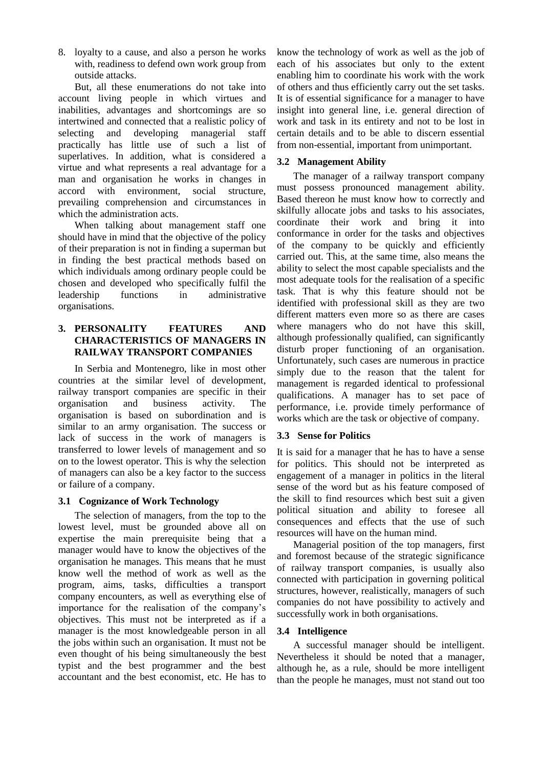8. loyalty to a cause, and also a person he works with, readiness to defend own work group from outside attacks.

But, all these enumerations do not take into account living people in which virtues and inabilities, advantages and shortcomings are so intertwined and connected that a realistic policy of selecting and developing managerial staff practically has little use of such a list of superlatives. In addition, what is considered a virtue and what represents a real advantage for a man and organisation he works in changes in accord with environment, social structure, prevailing comprehension and circumstances in which the administration acts.

When talking about management staff one should have in mind that the objective of the policy of their preparation is not in finding a superman but in finding the best practical methods based on which individuals among ordinary people could be chosen and developed who specifically fulfil the leadership functions in administrative organisations.

## **3. PERSONALITY FEATURES AND CHARACTERISTICS OF MANAGERS IN RAILWAY TRANSPORT COMPANIES**

In Serbia and Montenegro, like in most other countries at the similar level of development, railway transport companies are specific in their organisation and business activity. The organisation is based on subordination and is similar to an army organisation. The success or lack of success in the work of managers is transferred to lower levels of management and so on to the lowest operator. This is why the selection of managers can also be a key factor to the success or failure of a company.

# **3.1 Cognizance of Work Technology**

The selection of managers, from the top to the lowest level, must be grounded above all on expertise the main prerequisite being that a manager would have to know the objectives of the organisation he manages. This means that he must know well the method of work as well as the program, aims, tasks, difficulties a transport company encounters, as well as everything else of importance for the realisation of the company's objectives. This must not be interpreted as if a manager is the most knowledgeable person in all the jobs within such an organisation. It must not be even thought of his being simultaneously the best typist and the best programmer and the best accountant and the best economist, etc. He has to

know the technology of work as well as the job of each of his associates but only to the extent enabling him to coordinate his work with the work of others and thus efficiently carry out the set tasks. It is of essential significance for a manager to have insight into general line, i.e. general direction of work and task in its entirety and not to be lost in certain details and to be able to discern essential from non-essential, important from unimportant.

### **3.2 Management Ability**

The manager of a railway transport company must possess pronounced management ability. Based thereon he must know how to correctly and skilfully allocate jobs and tasks to his associates, coordinate their work and bring it into conformance in order for the tasks and objectives of the company to be quickly and efficiently carried out. This, at the same time, also means the ability to select the most capable specialists and the most adequate tools for the realisation of a specific task. That is why this feature should not be identified with professional skill as they are two different matters even more so as there are cases where managers who do not have this skill, although professionally qualified, can significantly disturb proper functioning of an organisation. Unfortunately, such cases are numerous in practice simply due to the reason that the talent for management is regarded identical to professional qualifications. A manager has to set pace of performance, i.e. provide timely performance of works which are the task or objective of company.

#### **3.3 Sense for Politics**

It is said for a manager that he has to have a sense for politics. This should not be interpreted as engagement of a manager in politics in the literal sense of the word but as his feature composed of the skill to find resources which best suit a given political situation and ability to foresee all consequences and effects that the use of such resources will have on the human mind.

Managerial position of the top managers, first and foremost because of the strategic significance of railway transport companies, is usually also connected with participation in governing political structures, however, realistically, managers of such companies do not have possibility to actively and successfully work in both organisations.

#### **3.4 Intelligence**

A successful manager should be intelligent. Nevertheless it should be noted that a manager, although he, as a rule, should be more intelligent than the people he manages, must not stand out too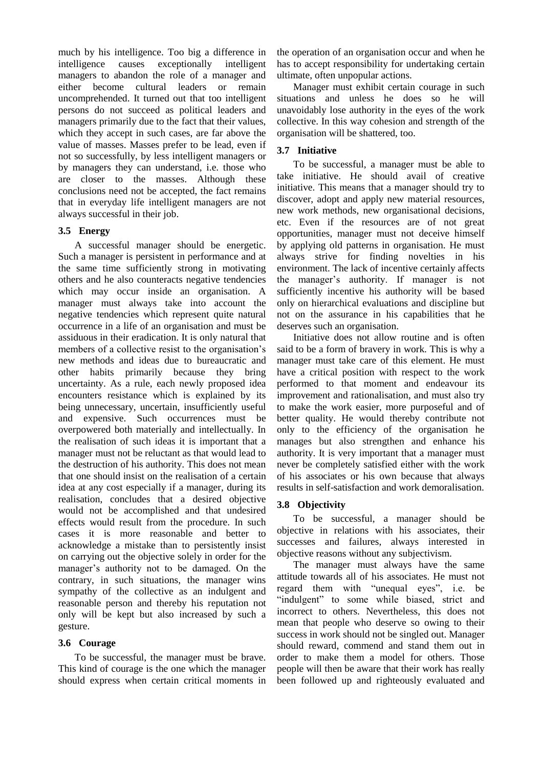much by his intelligence. Too big a difference in intelligence causes exceptionally intelligent managers to abandon the role of a manager and either become cultural leaders or remain uncomprehended. It turned out that too intelligent persons do not succeed as political leaders and managers primarily due to the fact that their values, which they accept in such cases, are far above the value of masses. Masses prefer to be lead, even if not so successfully, by less intelligent managers or by managers they can understand, i.e. those who are closer to the masses. Although these conclusions need not be accepted, the fact remains that in everyday life intelligent managers are not always successful in their job.

#### **3.5 Energy**

A successful manager should be energetic. Such a manager is persistent in performance and at the same time sufficiently strong in motivating others and he also counteracts negative tendencies which may occur inside an organisation. A manager must always take into account the negative tendencies which represent quite natural occurrence in a life of an organisation and must be assiduous in their eradication. It is only natural that members of a collective resist to the organisation's new methods and ideas due to bureaucratic and other habits primarily because they bring uncertainty. As a rule, each newly proposed idea encounters resistance which is explained by its being unnecessary, uncertain, insufficiently useful and expensive. Such occurrences must be overpowered both materially and intellectually. In the realisation of such ideas it is important that a manager must not be reluctant as that would lead to the destruction of his authority. This does not mean that one should insist on the realisation of a certain idea at any cost especially if a manager, during its realisation, concludes that a desired objective would not be accomplished and that undesired effects would result from the procedure. In such cases it is more reasonable and better to acknowledge a mistake than to persistently insist on carrying out the objective solely in order for the manager's authority not to be damaged. On the contrary, in such situations, the manager wins sympathy of the collective as an indulgent and reasonable person and thereby his reputation not only will be kept but also increased by such a gesture.

# **3.6 Courage**

To be successful, the manager must be brave. This kind of courage is the one which the manager should express when certain critical moments in the operation of an organisation occur and when he has to accept responsibility for undertaking certain ultimate, often unpopular actions.

Manager must exhibit certain courage in such situations and unless he does so he will unavoidably lose authority in the eyes of the work collective. In this way cohesion and strength of the organisation will be shattered, too.

# **3.7 Initiative**

To be successful, a manager must be able to take initiative. He should avail of creative initiative. This means that a manager should try to discover, adopt and apply new material resources, new work methods, new organisational decisions, etc. Even if the resources are of not great opportunities, manager must not deceive himself by applying old patterns in organisation. He must always strive for finding novelties in his environment. The lack of incentive certainly affects the manager's authority. If manager is not sufficiently incentive his authority will be based only on hierarchical evaluations and discipline but not on the assurance in his capabilities that he deserves such an organisation.

Initiative does not allow routine and is often said to be a form of bravery in work. This is why a manager must take care of this element. He must have a critical position with respect to the work performed to that moment and endeavour its improvement and rationalisation, and must also try to make the work easier, more purposeful and of better quality. He would thereby contribute not only to the efficiency of the organisation he manages but also strengthen and enhance his authority. It is very important that a manager must never be completely satisfied either with the work of his associates or his own because that always results in self-satisfaction and work demoralisation.

# **3.8 Objectivity**

To be successful, a manager should be objective in relations with his associates, their successes and failures, always interested in objective reasons without any subjectivism.

The manager must always have the same attitude towards all of his associates. He must not regard them with "unequal eyes", i.e. be "indulgent" to some while biased, strict and incorrect to others. Nevertheless, this does not mean that people who deserve so owing to their success in work should not be singled out. Manager should reward, commend and stand them out in order to make them a model for others. Those people will then be aware that their work has really been followed up and righteously evaluated and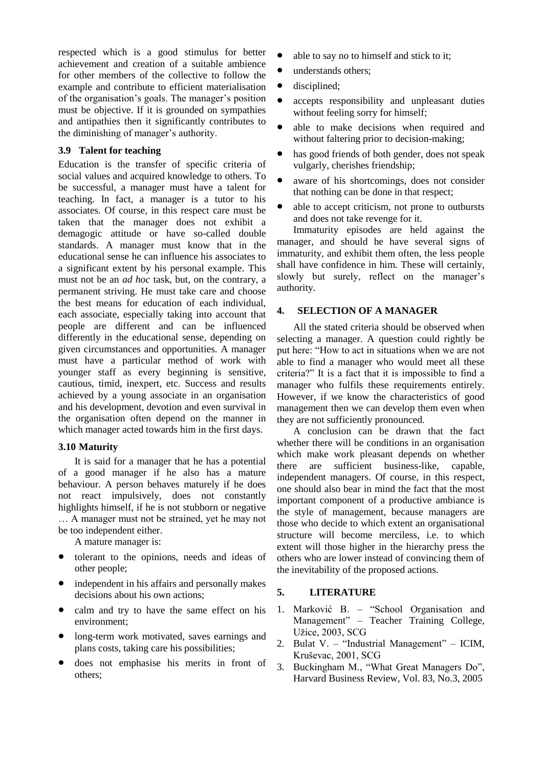respected which is a good stimulus for better achievement and creation of a suitable ambience for other members of the collective to follow the example and contribute to efficient materialisation of the organisation's goals. The manager's position must be objective. If it is grounded on sympathies and antipathies then it significantly contributes to the diminishing of manager's authority.

#### **3.9 Talent for teaching**

Education is the transfer of specific criteria of social values and acquired knowledge to others. To be successful, a manager must have a talent for teaching. In fact, a manager is a tutor to his associates. Of course, in this respect care must be taken that the manager does not exhibit a demagogic attitude or have so-called double standards. A manager must know that in the educational sense he can influence his associates to a significant extent by his personal example. This must not be an *ad hoc* task, but, on the contrary, a permanent striving. He must take care and choose the best means for education of each individual, each associate, especially taking into account that people are different and can be influenced differently in the educational sense, depending on given circumstances and opportunities. A manager must have a particular method of work with younger staff as every beginning is sensitive, cautious, timid, inexpert, etc. Success and results achieved by a young associate in an organisation and his development, devotion and even survival in the organisation often depend on the manner in which manager acted towards him in the first days.

# **3.10 Maturity**

It is said for a manager that he has a potential of a good manager if he also has a mature behaviour. A person behaves maturely if he does not react impulsively, does not constantly highlights himself, if he is not stubborn or negative … A manager must not be strained, yet he may not be too independent either.

A mature manager is:

- tolerant to the opinions, needs and ideas of other people;
- independent in his affairs and personally makes decisions about his own actions;
- calm and try to have the same effect on his environment;
- long-term work motivated, saves earnings and plans costs, taking care his possibilities;
- does not emphasise his merits in front of others;
- able to say no to himself and stick to it;
- understands others;
- disciplined;
- accepts responsibility and unpleasant duties without feeling sorry for himself;
- able to make decisions when required and without faltering prior to decision-making;
- has good friends of both gender, does not speak vulgarly, cherishes friendship;
- aware of his shortcomings, does not consider that nothing can be done in that respect;
- able to accept criticism, not prone to outbursts and does not take revenge for it.

Immaturity episodes are held against the manager, and should he have several signs of immaturity, and exhibit them often, the less people shall have confidence in him. These will certainly, slowly but surely, reflect on the manager's authority.

#### **4. SELECTION OF A MANAGER**

All the stated criteria should be observed when selecting a manager. A question could rightly be put here: "How to act in situations when we are not able to find a manager who would meet all these criteria?" It is a fact that it is impossible to find a manager who fulfils these requirements entirely. However, if we know the characteristics of good management then we can develop them even when they are not sufficiently pronounced.

A conclusion can be drawn that the fact whether there will be conditions in an organisation which make work pleasant depends on whether there are sufficient business-like, capable, independent managers. Of course, in this respect, one should also bear in mind the fact that the most important component of a productive ambiance is the style of management, because managers are those who decide to which extent an organisational structure will become merciless, i.e. to which extent will those higher in the hierarchy press the others who are lower instead of convincing them of the inevitability of the proposed actions.

# **5. LITERATURE**

- 1. Marković B. "School Organisation and Management" – Teacher Training College, Užice, 2003, SCG
- 2. Bulat V. "Industrial Management" ICIM, Kruševac, 2001, SCG
- 3. Buckingham M., "What Great Managers Do", Harvard Business Review, Vol. 83, No.3, 2005